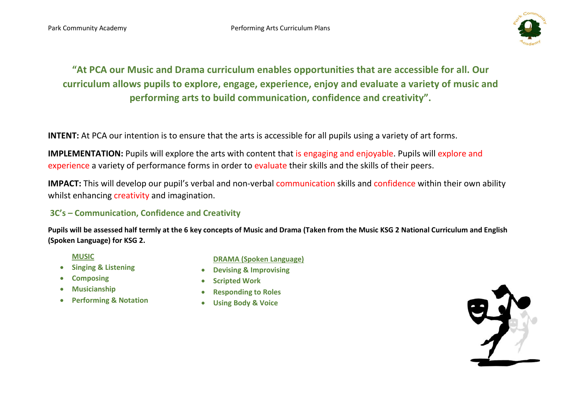

"At PCA our Music and Drama curriculum enables opportunities that are accessible for all. Our curriculum allows pupils to explore, engage, experience, enjoy and evaluate a variety of music and performing arts to build communication, confidence and creativity".

INTENT: At PCA our intention is to ensure that the arts is accessible for all pupils using a variety of art forms.

IMPLEMENTATION: Pupils will explore the arts with content that is engaging and enjoyable. Pupils will explore and experience a variety of performance forms in order to evaluate their skills and the skills of their peers.

IMPACT: This will develop our pupil's verbal and non-verbal communication skills and confidence within their own ability whilst enhancing creativity and imagination.

## 3C's – Communication, Confidence and Creativity

Pupils will be assessed half termly at the 6 key concepts of Music and Drama (Taken from the Music KSG 2 National Curriculum and English (Spoken Language) for KSG 2.

## MUSIC

- Singing & Listening
- Composing
- Musicianship
- Performing & Notation

## DRAMA (Spoken Language)

- Devising & Improvising
- **•** Scripted Work
- Responding to Roles
- Using Body & Voice

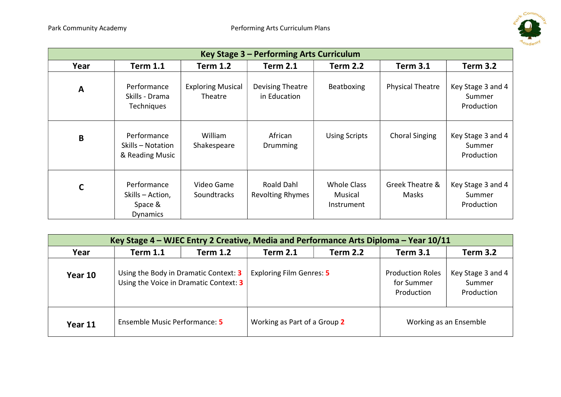

| Key Stage 3 - Performing Arts Curriculum |                                                               |                                     |                                       |                                             |                          |                                           |  |
|------------------------------------------|---------------------------------------------------------------|-------------------------------------|---------------------------------------|---------------------------------------------|--------------------------|-------------------------------------------|--|
| Year                                     | <b>Term 1.1</b>                                               | <b>Term 1.2</b>                     | <b>Term 2.1</b>                       | <b>Term 2.2</b>                             | <b>Term 3.1</b>          | <b>Term 3.2</b>                           |  |
| A                                        | Performance<br>Skills - Drama<br><b>Techniques</b>            | <b>Exploring Musical</b><br>Theatre | Devising Theatre<br>in Education      | Beatboxing                                  | <b>Physical Theatre</b>  | Key Stage 3 and 4<br>Summer<br>Production |  |
| B                                        | Performance<br>Skills - Notation<br>& Reading Music           | William<br>Shakespeare              | African<br>Drumming                   | <b>Using Scripts</b>                        | <b>Choral Singing</b>    | Key Stage 3 and 4<br>Summer<br>Production |  |
| $\mathsf{C}$                             | Performance<br>Skills - Action,<br>Space &<br><b>Dynamics</b> | Video Game<br><b>Soundtracks</b>    | Roald Dahl<br><b>Revolting Rhymes</b> | <b>Whole Class</b><br>Musical<br>Instrument | Greek Theatre &<br>Masks | Key Stage 3 and 4<br>Summer<br>Production |  |

| Key Stage 4 – WJEC Entry 2 Creative, Media and Performance Arts Diploma – Year 10/11 |                                                                                 |                 |                                 |                 |                                                     |                                           |  |  |
|--------------------------------------------------------------------------------------|---------------------------------------------------------------------------------|-----------------|---------------------------------|-----------------|-----------------------------------------------------|-------------------------------------------|--|--|
| Year                                                                                 | <b>Term 1.1</b>                                                                 | <b>Term 1.2</b> | <b>Term 2.1</b>                 | <b>Term 2.2</b> | <b>Term 3.1</b>                                     | <b>Term 3.2</b>                           |  |  |
| Year 10                                                                              | Using the Body in Dramatic Context: 3<br>Using the Voice in Dramatic Context: 3 |                 | <b>Exploring Film Genres: 5</b> |                 | <b>Production Roles</b><br>for Summer<br>Production | Key Stage 3 and 4<br>Summer<br>Production |  |  |
| Year 11                                                                              | Ensemble Music Performance: 5                                                   |                 | Working as Part of a Group 2    |                 | Working as an Ensemble                              |                                           |  |  |